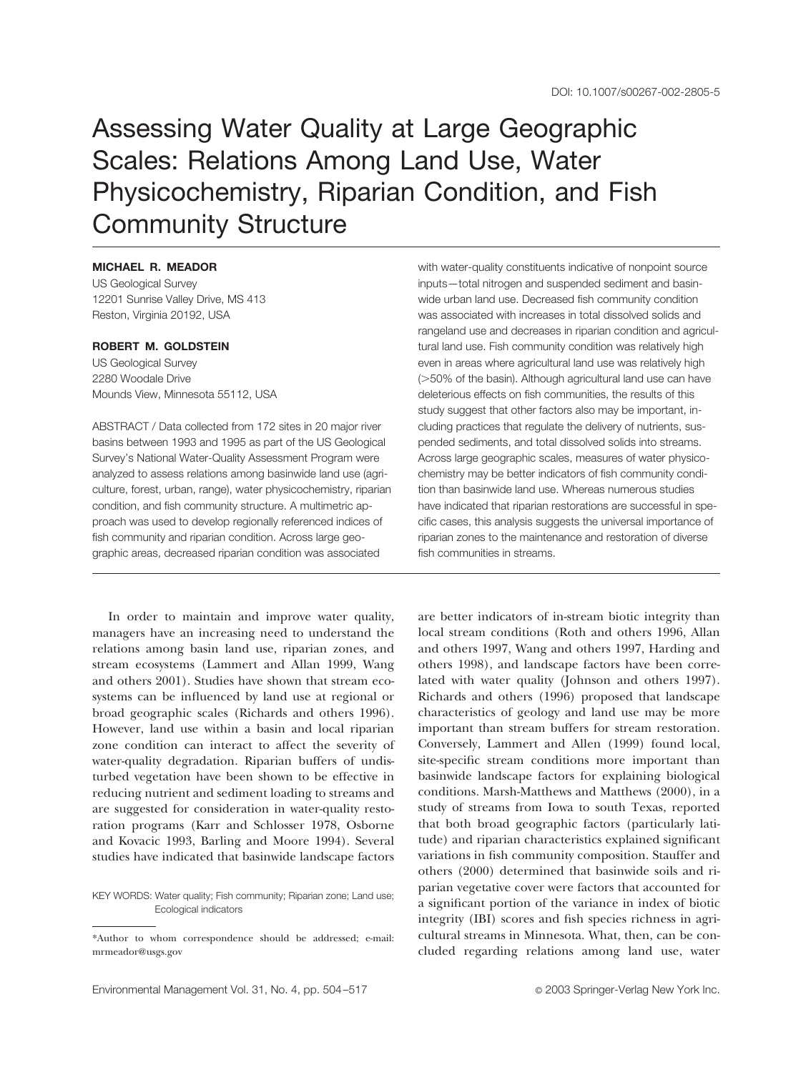# Assessing Water Quality at Large Geographic Scales: Relations Among Land Use, Water Physicochemistry, Riparian Condition, and Fish Community Structure

# **MICHAEL R. MEADOR**

US Geological Survey 12201 Sunrise Valley Drive, MS 413 Reston, Virginia 20192, USA

#### **ROBERT M. GOLDSTEIN**

US Geological Survey 2280 Woodale Drive Mounds View, Minnesota 55112, USA

ABSTRACT / Data collected from 172 sites in 20 major river basins between 1993 and 1995 as part of the US Geological Survey's National Water-Quality Assessment Program were analyzed to assess relations among basinwide land use (agriculture, forest, urban, range), water physicochemistry, riparian condition, and fish community structure. A multimetric approach was used to develop regionally referenced indices of fish community and riparian condition. Across large geographic areas, decreased riparian condition was associated

In order to maintain and improve water quality, managers have an increasing need to understand the relations among basin land use, riparian zones, and stream ecosystems (Lammert and Allan 1999, Wang and others 2001). Studies have shown that stream ecosystems can be influenced by land use at regional or broad geographic scales (Richards and others 1996). However, land use within a basin and local riparian zone condition can interact to affect the severity of water-quality degradation. Riparian buffers of undisturbed vegetation have been shown to be effective in reducing nutrient and sediment loading to streams and are suggested for consideration in water-quality restoration programs (Karr and Schlosser 1978, Osborne and Kovacic 1993, Barling and Moore 1994). Several studies have indicated that basinwide landscape factors

with water-quality constituents indicative of nonpoint source inputs—total nitrogen and suspended sediment and basinwide urban land use. Decreased fish community condition was associated with increases in total dissolved solids and rangeland use and decreases in riparian condition and agricultural land use. Fish community condition was relatively high even in areas where agricultural land use was relatively high ( $>50\%$  of the basin). Although agricultural land use can have deleterious effects on fish communities, the results of this study suggest that other factors also may be important, including practices that regulate the delivery of nutrients, suspended sediments, and total dissolved solids into streams. Across large geographic scales, measures of water physicochemistry may be better indicators of fish community condition than basinwide land use. Whereas numerous studies have indicated that riparian restorations are successful in specific cases, this analysis suggests the universal importance of riparian zones to the maintenance and restoration of diverse fish communities in streams.

are better indicators of in-stream biotic integrity than local stream conditions (Roth and others 1996, Allan and others 1997, Wang and others 1997, Harding and others 1998), and landscape factors have been correlated with water quality (Johnson and others 1997). Richards and others (1996) proposed that landscape characteristics of geology and land use may be more important than stream buffers for stream restoration. Conversely, Lammert and Allen (1999) found local, site-specific stream conditions more important than basinwide landscape factors for explaining biological conditions. Marsh-Matthews and Matthews (2000), in a study of streams from Iowa to south Texas, reported that both broad geographic factors (particularly latitude) and riparian characteristics explained significant variations in fish community composition. Stauffer and others (2000) determined that basinwide soils and riparian vegetative cover were factors that accounted for a significant portion of the variance in index of biotic integrity (IBI) scores and fish species richness in agricultural streams in Minnesota. What, then, can be concluded regarding relations among land use, water

KEY WORDS: Water quality; Fish community; Riparian zone; Land use; Ecological indicators

<sup>\*</sup>Author to whom correspondence should be addressed; e-mail: mrmeador@usgs.gov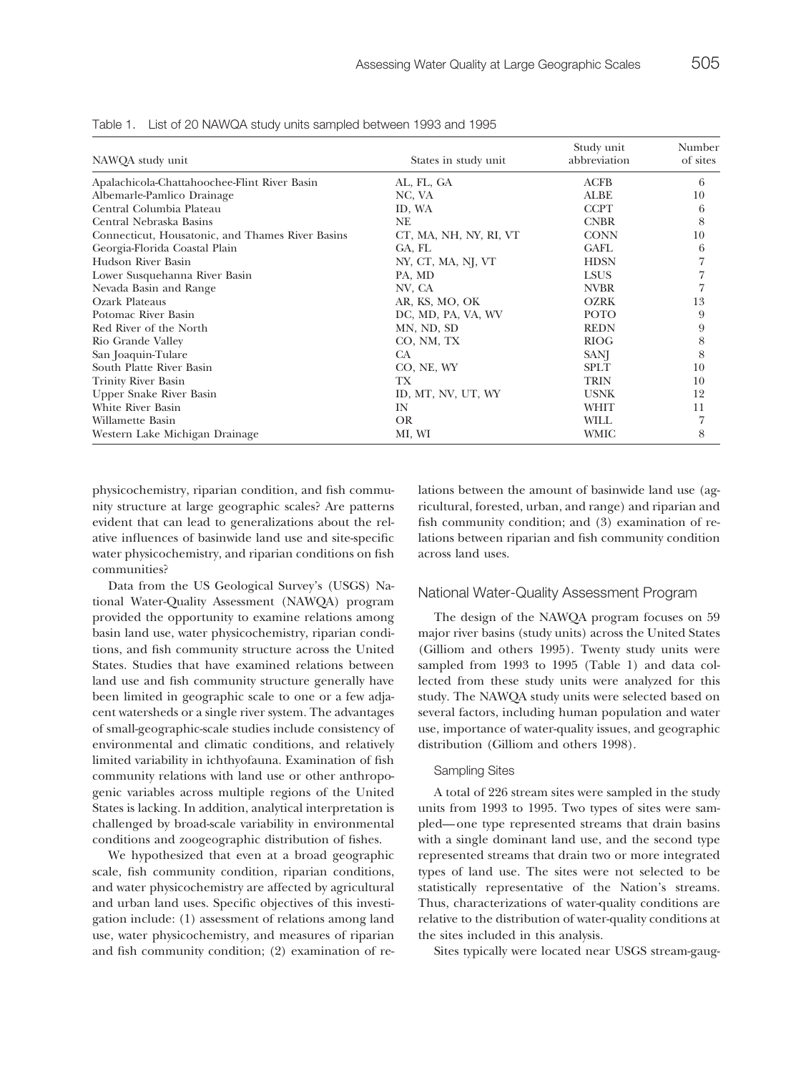| NAWQA study unit                                 | States in study unit   | Study unit<br>abbreviation | Number<br>of sites |
|--------------------------------------------------|------------------------|----------------------------|--------------------|
| Apalachicola-Chattahoochee-Flint River Basin     | AL, FL, GA             | <b>ACFB</b>                | 6                  |
| Albemarle-Pamlico Drainage                       | NC, VA                 | <b>ALBE</b>                | 10                 |
| Central Columbia Plateau                         | ID, WA                 | <b>CCPT</b>                | 6                  |
| Central Nebraska Basins                          | NE                     | <b>CNBR</b>                | 8                  |
| Connecticut, Housatonic, and Thames River Basins | CT, MA, NH, NY, RI, VT | <b>CONN</b>                | 10                 |
| Georgia-Florida Coastal Plain                    | GA, FL                 | <b>GAFL</b>                | 6                  |
| Hudson River Basin                               | NY, CT, MA, NJ, VT     | <b>HDSN</b>                |                    |
| Lower Susquehanna River Basin                    | PA, MD                 | <b>LSUS</b>                | 7                  |
| Nevada Basin and Range                           | NV, CA                 | <b>NVBR</b>                |                    |
| Ozark Plateaus                                   | AR, KS, MO, OK         | <b>OZRK</b>                | 13                 |
| Potomac River Basin                              | DC, MD, PA, VA, WV     | <b>POTO</b>                | 9                  |
| Red River of the North                           | MN, ND, SD             | <b>REDN</b>                | 9                  |
| Rio Grande Valley                                | CO, NM, TX             | <b>RIOG</b>                | 8                  |
| San Joaquin-Tulare                               | <b>CA</b>              | <b>SANI</b>                | 8                  |
| South Platte River Basin                         | CO, NE, WY             | <b>SPLT</b>                | 10                 |
| <b>Trinity River Basin</b>                       | TX                     | <b>TRIN</b>                | 10                 |
| Upper Snake River Basin                          | ID, MT, NV, UT, WY     | <b>USNK</b>                | 12                 |
| White River Basin                                | IN                     | <b>WHIT</b>                | 11                 |
| Willamette Basin                                 | OR.                    | <b>WILL</b>                | 7                  |
| Western Lake Michigan Drainage                   | MI, WI                 | <b>WMIC</b>                | 8                  |

Table 1. List of 20 NAWQA study units sampled between 1993 and 1995

physicochemistry, riparian condition, and fish community structure at large geographic scales? Are patterns evident that can lead to generalizations about the relative influences of basinwide land use and site-specific water physicochemistry, and riparian conditions on fish communities?

Data from the US Geological Survey's (USGS) National Water-Quality Assessment (NAWQA) program provided the opportunity to examine relations among basin land use, water physicochemistry, riparian conditions, and fish community structure across the United States. Studies that have examined relations between land use and fish community structure generally have been limited in geographic scale to one or a few adjacent watersheds or a single river system. The advantages of small-geographic-scale studies include consistency of environmental and climatic conditions, and relatively limited variability in ichthyofauna. Examination of fish community relations with land use or other anthropogenic variables across multiple regions of the United States is lacking. In addition, analytical interpretation is challenged by broad-scale variability in environmental conditions and zoogeographic distribution of fishes.

We hypothesized that even at a broad geographic scale, fish community condition, riparian conditions, and water physicochemistry are affected by agricultural and urban land uses. Specific objectives of this investigation include: (1) assessment of relations among land use, water physicochemistry, and measures of riparian and fish community condition; (2) examination of relations between the amount of basinwide land use (agricultural, forested, urban, and range) and riparian and fish community condition; and (3) examination of relations between riparian and fish community condition across land uses.

# National Water-Quality Assessment Program

The design of the NAWQA program focuses on 59 major river basins (study units) across the United States (Gilliom and others 1995). Twenty study units were sampled from 1993 to 1995 (Table 1) and data collected from these study units were analyzed for this study. The NAWQA study units were selected based on several factors, including human population and water use, importance of water-quality issues, and geographic distribution (Gilliom and others 1998).

#### Sampling Sites

A total of 226 stream sites were sampled in the study units from 1993 to 1995. Two types of sites were sampled—one type represented streams that drain basins with a single dominant land use, and the second type represented streams that drain two or more integrated types of land use. The sites were not selected to be statistically representative of the Nation's streams. Thus, characterizations of water-quality conditions are relative to the distribution of water-quality conditions at the sites included in this analysis.

Sites typically were located near USGS stream-gaug-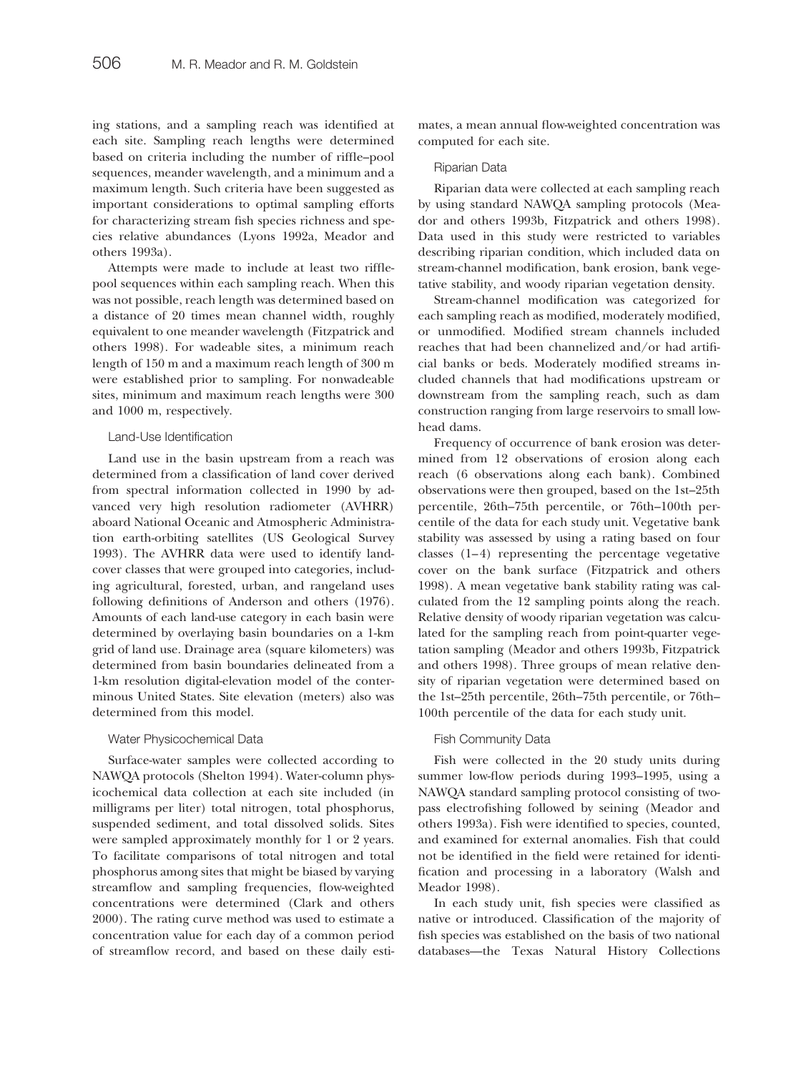ing stations, and a sampling reach was identified at each site. Sampling reach lengths were determined based on criteria including the number of riffle–pool sequences, meander wavelength, and a minimum and a maximum length. Such criteria have been suggested as important considerations to optimal sampling efforts for characterizing stream fish species richness and species relative abundances (Lyons 1992a, Meador and others 1993a).

Attempts were made to include at least two rifflepool sequences within each sampling reach. When this was not possible, reach length was determined based on a distance of 20 times mean channel width, roughly equivalent to one meander wavelength (Fitzpatrick and others 1998). For wadeable sites, a minimum reach length of 150 m and a maximum reach length of 300 m were established prior to sampling. For nonwadeable sites, minimum and maximum reach lengths were 300 and 1000 m, respectively.

#### Land-Use Identification

Land use in the basin upstream from a reach was determined from a classification of land cover derived from spectral information collected in 1990 by advanced very high resolution radiometer (AVHRR) aboard National Oceanic and Atmospheric Administration earth-orbiting satellites (US Geological Survey 1993). The AVHRR data were used to identify landcover classes that were grouped into categories, including agricultural, forested, urban, and rangeland uses following definitions of Anderson and others (1976). Amounts of each land-use category in each basin were determined by overlaying basin boundaries on a 1-km grid of land use. Drainage area (square kilometers) was determined from basin boundaries delineated from a 1-km resolution digital-elevation model of the conterminous United States. Site elevation (meters) also was determined from this model.

#### Water Physicochemical Data

Surface-water samples were collected according to NAWQA protocols (Shelton 1994). Water-column physicochemical data collection at each site included (in milligrams per liter) total nitrogen, total phosphorus, suspended sediment, and total dissolved solids. Sites were sampled approximately monthly for 1 or 2 years. To facilitate comparisons of total nitrogen and total phosphorus among sites that might be biased by varying streamflow and sampling frequencies, flow-weighted concentrations were determined (Clark and others 2000). The rating curve method was used to estimate a concentration value for each day of a common period of streamflow record, and based on these daily estimates, a mean annual flow-weighted concentration was computed for each site.

#### Riparian Data

Riparian data were collected at each sampling reach by using standard NAWQA sampling protocols (Meador and others 1993b, Fitzpatrick and others 1998). Data used in this study were restricted to variables describing riparian condition, which included data on stream-channel modification, bank erosion, bank vegetative stability, and woody riparian vegetation density.

Stream-channel modification was categorized for each sampling reach as modified, moderately modified, or unmodified. Modified stream channels included reaches that had been channelized and/or had artificial banks or beds. Moderately modified streams included channels that had modifications upstream or downstream from the sampling reach, such as dam construction ranging from large reservoirs to small lowhead dams.

Frequency of occurrence of bank erosion was determined from 12 observations of erosion along each reach (6 observations along each bank). Combined observations were then grouped, based on the 1st–25th percentile, 26th–75th percentile, or 76th–100th percentile of the data for each study unit. Vegetative bank stability was assessed by using a rating based on four classes (1–4) representing the percentage vegetative cover on the bank surface (Fitzpatrick and others 1998). A mean vegetative bank stability rating was calculated from the 12 sampling points along the reach. Relative density of woody riparian vegetation was calculated for the sampling reach from point-quarter vegetation sampling (Meador and others 1993b, Fitzpatrick and others 1998). Three groups of mean relative density of riparian vegetation were determined based on the 1st–25th percentile, 26th–75th percentile, or 76th– 100th percentile of the data for each study unit.

#### Fish Community Data

Fish were collected in the 20 study units during summer low-flow periods during 1993–1995, using a NAWQA standard sampling protocol consisting of twopass electrofishing followed by seining (Meador and others 1993a). Fish were identified to species, counted, and examined for external anomalies. Fish that could not be identified in the field were retained for identification and processing in a laboratory (Walsh and Meador 1998).

In each study unit, fish species were classified as native or introduced. Classification of the majority of fish species was established on the basis of two national databases—the Texas Natural History Collections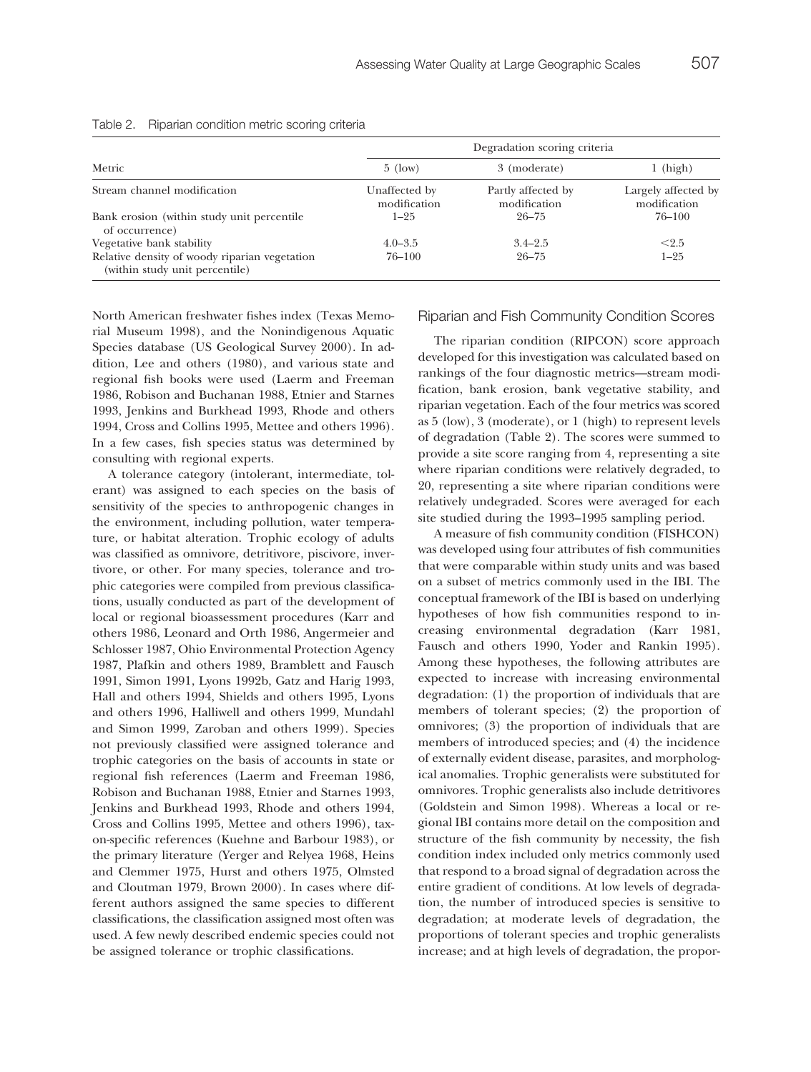|                                                                                 |                               | Degradation scoring criteria       |                                     |
|---------------------------------------------------------------------------------|-------------------------------|------------------------------------|-------------------------------------|
| Metric                                                                          | $5$ (low)                     | 3 (moderate)                       | $1$ (high)                          |
| Stream channel modification                                                     | Unaffected by<br>modification | Partly affected by<br>modification | Largely affected by<br>modification |
| Bank erosion (within study unit percentile)<br>of occurrence)                   | $1 - 25$                      | $26 - 75$                          | 76–100                              |
| Vegetative bank stability                                                       | $4.0 - 3.5$                   | $3.4 - 2.5$                        | < 2.5                               |
| Relative density of woody riparian vegetation<br>(within study unit percentile) | $76 - 100$                    | $26 - 75$                          | $1 - 25$                            |

#### Table 2. Riparian condition metric scoring criteria

North American freshwater fishes index (Texas Memorial Museum 1998), and the Nonindigenous Aquatic Species database (US Geological Survey 2000). In addition, Lee and others (1980), and various state and regional fish books were used (Laerm and Freeman 1986, Robison and Buchanan 1988, Etnier and Starnes 1993, Jenkins and Burkhead 1993, Rhode and others 1994, Cross and Collins 1995, Mettee and others 1996). In a few cases, fish species status was determined by consulting with regional experts.

A tolerance category (intolerant, intermediate, tolerant) was assigned to each species on the basis of sensitivity of the species to anthropogenic changes in the environment, including pollution, water temperature, or habitat alteration. Trophic ecology of adults was classified as omnivore, detritivore, piscivore, invertivore, or other. For many species, tolerance and trophic categories were compiled from previous classifications, usually conducted as part of the development of local or regional bioassessment procedures (Karr and others 1986, Leonard and Orth 1986, Angermeier and Schlosser 1987, Ohio Environmental Protection Agency 1987, Plafkin and others 1989, Bramblett and Fausch 1991, Simon 1991, Lyons 1992b, Gatz and Harig 1993, Hall and others 1994, Shields and others 1995, Lyons and others 1996, Halliwell and others 1999, Mundahl and Simon 1999, Zaroban and others 1999). Species not previously classified were assigned tolerance and trophic categories on the basis of accounts in state or regional fish references (Laerm and Freeman 1986, Robison and Buchanan 1988, Etnier and Starnes 1993, Jenkins and Burkhead 1993, Rhode and others 1994, Cross and Collins 1995, Mettee and others 1996), taxon-specific references (Kuehne and Barbour 1983), or the primary literature (Yerger and Relyea 1968, Heins and Clemmer 1975, Hurst and others 1975, Olmsted and Cloutman 1979, Brown 2000). In cases where different authors assigned the same species to different classifications, the classification assigned most often was used. A few newly described endemic species could not be assigned tolerance or trophic classifications.

# Riparian and Fish Community Condition Scores

The riparian condition (RIPCON) score approach developed for this investigation was calculated based on rankings of the four diagnostic metrics—stream modification, bank erosion, bank vegetative stability, and riparian vegetation. Each of the four metrics was scored as 5 (low), 3 (moderate), or 1 (high) to represent levels of degradation (Table 2). The scores were summed to provide a site score ranging from 4, representing a site where riparian conditions were relatively degraded, to 20, representing a site where riparian conditions were relatively undegraded. Scores were averaged for each site studied during the 1993–1995 sampling period.

A measure of fish community condition (FISHCON) was developed using four attributes of fish communities that were comparable within study units and was based on a subset of metrics commonly used in the IBI. The conceptual framework of the IBI is based on underlying hypotheses of how fish communities respond to increasing environmental degradation (Karr 1981, Fausch and others 1990, Yoder and Rankin 1995). Among these hypotheses, the following attributes are expected to increase with increasing environmental degradation: (1) the proportion of individuals that are members of tolerant species; (2) the proportion of omnivores; (3) the proportion of individuals that are members of introduced species; and (4) the incidence of externally evident disease, parasites, and morphological anomalies. Trophic generalists were substituted for omnivores. Trophic generalists also include detritivores (Goldstein and Simon 1998). Whereas a local or regional IBI contains more detail on the composition and structure of the fish community by necessity, the fish condition index included only metrics commonly used that respond to a broad signal of degradation across the entire gradient of conditions. At low levels of degradation, the number of introduced species is sensitive to degradation; at moderate levels of degradation, the proportions of tolerant species and trophic generalists increase; and at high levels of degradation, the propor-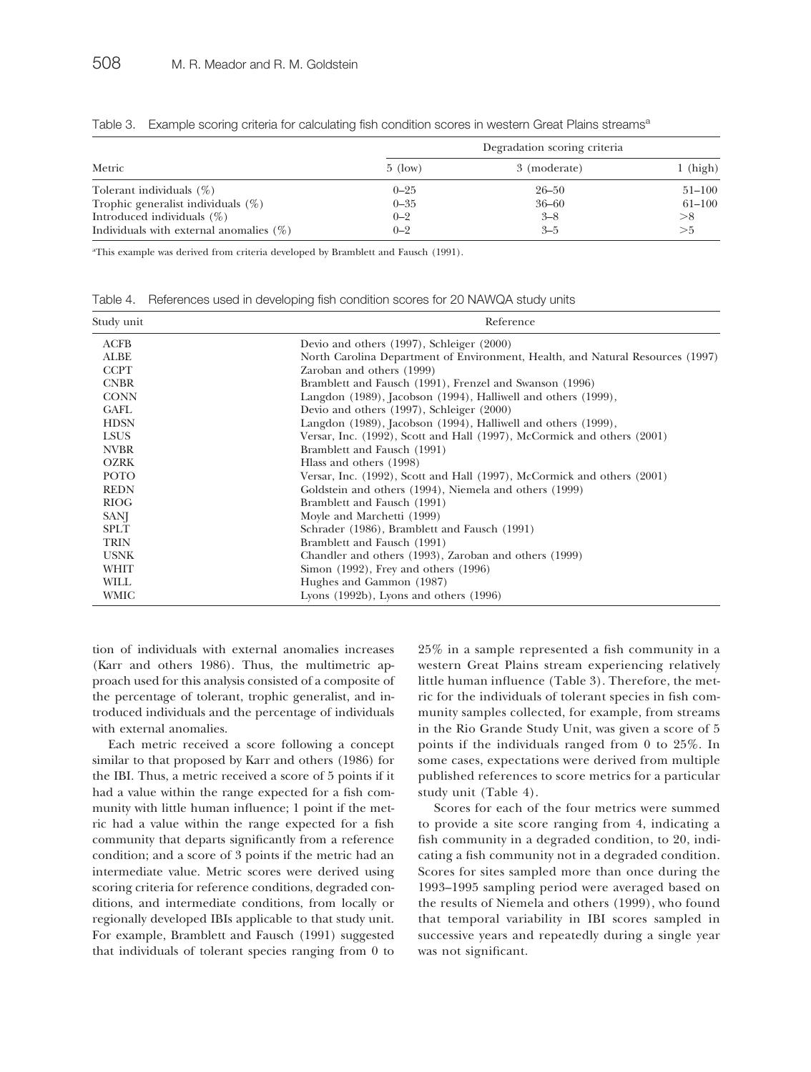| Metric                                     |           | Degradation scoring criteria |            |
|--------------------------------------------|-----------|------------------------------|------------|
|                                            | $5$ (low) | 3 (moderate)                 | $1$ (high) |
| Tolerant individuals $(\%)$                | $0 - 25$  | $26 - 50$                    | $51 - 100$ |
| Trophic generalist individuals $(\%)$      | $0 - 35$  | $36 - 60$                    | $61 - 100$ |
| Introduced individuals $(\%)$              | $0 - 2$   | $3 - 8$                      | > 8        |
| Individuals with external anomalies $(\%)$ | $0 - 2$   | $3 - 5$                      | $>$ 5      |

Table 3. Example scoring criteria for calculating fish condition scores in western Great Plains streams<sup>a</sup>

<sup>a</sup>This example was derived from criteria developed by Bramblett and Fausch (1991).

Table 4. References used in developing fish condition scores for 20 NAWQA study units

| Study unit  | Reference                                                                      |  |  |
|-------------|--------------------------------------------------------------------------------|--|--|
| ACFB        | Devio and others (1997), Schleiger (2000)                                      |  |  |
| <b>ALBE</b> | North Carolina Department of Environment, Health, and Natural Resources (1997) |  |  |
| <b>CCPT</b> | Zaroban and others (1999)                                                      |  |  |
| <b>CNBR</b> | Bramblett and Fausch (1991), Frenzel and Swanson (1996)                        |  |  |
| <b>CONN</b> | Langdon (1989), Jacobson (1994), Halliwell and others (1999),                  |  |  |
| <b>GAFL</b> | Devio and others (1997), Schleiger (2000)                                      |  |  |
| <b>HDSN</b> | Langdon (1989), Jacobson (1994), Halliwell and others (1999),                  |  |  |
| <b>LSUS</b> | Versar, Inc. (1992), Scott and Hall (1997), McCormick and others (2001)        |  |  |
| <b>NVBR</b> | Bramblett and Fausch (1991)                                                    |  |  |
| <b>OZRK</b> | Hlass and others (1998)                                                        |  |  |
| <b>POTO</b> | Versar, Inc. (1992), Scott and Hall (1997), McCormick and others (2001)        |  |  |
| <b>REDN</b> | Goldstein and others (1994), Niemela and others (1999)                         |  |  |
| <b>RIOG</b> | Bramblett and Fausch (1991)                                                    |  |  |
| <b>SANJ</b> | Moyle and Marchetti (1999)                                                     |  |  |
| <b>SPLT</b> | Schrader (1986), Bramblett and Fausch (1991)                                   |  |  |
| <b>TRIN</b> | Bramblett and Fausch (1991)                                                    |  |  |
| <b>USNK</b> | Chandler and others (1993), Zaroban and others (1999)                          |  |  |
| <b>WHIT</b> | Simon $(1992)$ , Frey and others $(1996)$                                      |  |  |
| WILL        | Hughes and Gammon (1987)                                                       |  |  |
| <b>WMIC</b> | Lyons $(1992b)$ , Lyons and others $(1996)$                                    |  |  |

tion of individuals with external anomalies increases (Karr and others 1986). Thus, the multimetric approach used for this analysis consisted of a composite of the percentage of tolerant, trophic generalist, and introduced individuals and the percentage of individuals with external anomalies.

Each metric received a score following a concept similar to that proposed by Karr and others (1986) for the IBI. Thus, a metric received a score of 5 points if it had a value within the range expected for a fish community with little human influence; 1 point if the metric had a value within the range expected for a fish community that departs significantly from a reference condition; and a score of 3 points if the metric had an intermediate value. Metric scores were derived using scoring criteria for reference conditions, degraded conditions, and intermediate conditions, from locally or regionally developed IBIs applicable to that study unit. For example, Bramblett and Fausch (1991) suggested that individuals of tolerant species ranging from 0 to 25% in a sample represented a fish community in a western Great Plains stream experiencing relatively little human influence (Table 3). Therefore, the metric for the individuals of tolerant species in fish community samples collected, for example, from streams in the Rio Grande Study Unit, was given a score of 5 points if the individuals ranged from 0 to 25%. In some cases, expectations were derived from multiple published references to score metrics for a particular study unit (Table 4).

Scores for each of the four metrics were summed to provide a site score ranging from 4, indicating a fish community in a degraded condition, to 20, indicating a fish community not in a degraded condition. Scores for sites sampled more than once during the 1993–1995 sampling period were averaged based on the results of Niemela and others (1999), who found that temporal variability in IBI scores sampled in successive years and repeatedly during a single year was not significant.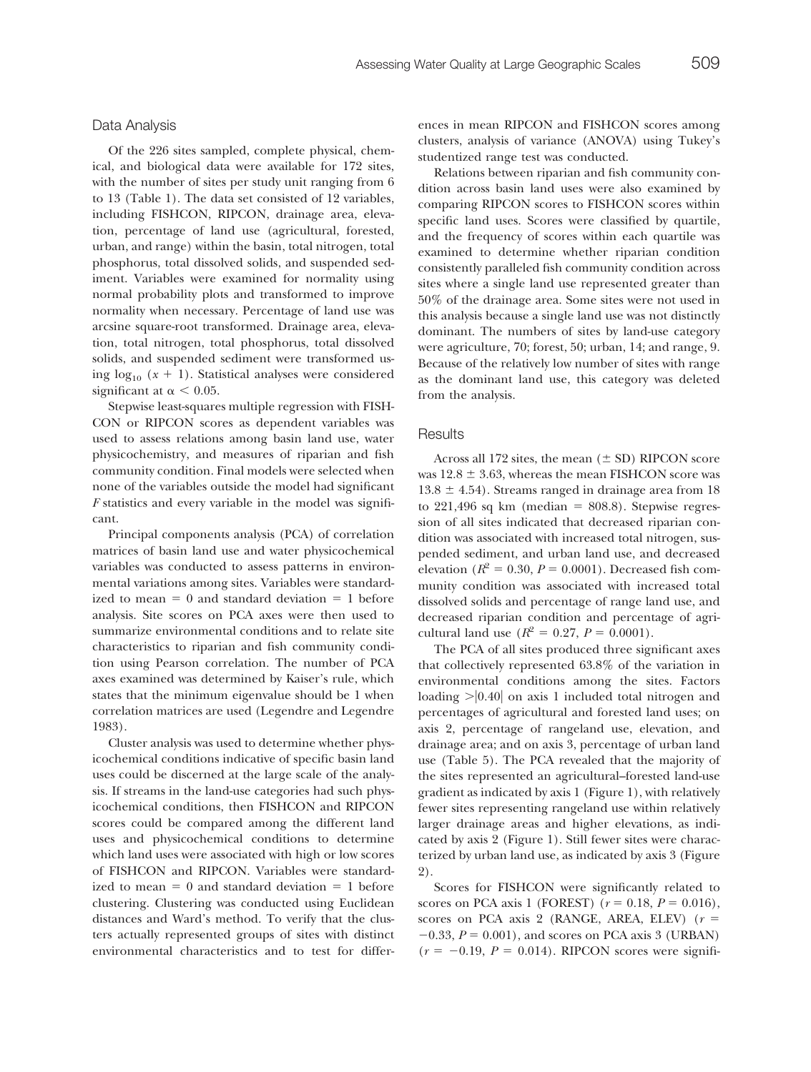# Data Analysis

Of the 226 sites sampled, complete physical, chemical, and biological data were available for 172 sites, with the number of sites per study unit ranging from 6 to 13 (Table 1). The data set consisted of 12 variables, including FISHCON, RIPCON, drainage area, elevation, percentage of land use (agricultural, forested, urban, and range) within the basin, total nitrogen, total phosphorus, total dissolved solids, and suspended sediment. Variables were examined for normality using normal probability plots and transformed to improve normality when necessary. Percentage of land use was arcsine square-root transformed. Drainage area, elevation, total nitrogen, total phosphorus, total dissolved solids, and suspended sediment were transformed using  $log_{10}$  ( $x + 1$ ). Statistical analyses were considered significant at  $\alpha < 0.05$ .

Stepwise least-squares multiple regression with FISH-CON or RIPCON scores as dependent variables was used to assess relations among basin land use, water physicochemistry, and measures of riparian and fish community condition. Final models were selected when none of the variables outside the model had significant *F* statistics and every variable in the model was significant.

Principal components analysis (PCA) of correlation matrices of basin land use and water physicochemical variables was conducted to assess patterns in environmental variations among sites. Variables were standardized to mean  $= 0$  and standard deviation  $= 1$  before analysis. Site scores on PCA axes were then used to summarize environmental conditions and to relate site characteristics to riparian and fish community condition using Pearson correlation. The number of PCA axes examined was determined by Kaiser's rule, which states that the minimum eigenvalue should be 1 when correlation matrices are used (Legendre and Legendre 1983).

Cluster analysis was used to determine whether physicochemical conditions indicative of specific basin land uses could be discerned at the large scale of the analysis. If streams in the land-use categories had such physicochemical conditions, then FISHCON and RIPCON scores could be compared among the different land uses and physicochemical conditions to determine which land uses were associated with high or low scores of FISHCON and RIPCON. Variables were standardized to mean  $= 0$  and standard deviation  $= 1$  before clustering. Clustering was conducted using Euclidean distances and Ward's method. To verify that the clusters actually represented groups of sites with distinct environmental characteristics and to test for differences in mean RIPCON and FISHCON scores among clusters, analysis of variance (ANOVA) using Tukey's studentized range test was conducted.

Relations between riparian and fish community condition across basin land uses were also examined by comparing RIPCON scores to FISHCON scores within specific land uses. Scores were classified by quartile, and the frequency of scores within each quartile was examined to determine whether riparian condition consistently paralleled fish community condition across sites where a single land use represented greater than 50% of the drainage area. Some sites were not used in this analysis because a single land use was not distinctly dominant. The numbers of sites by land-use category were agriculture, 70; forest, 50; urban, 14; and range, 9. Because of the relatively low number of sites with range as the dominant land use, this category was deleted from the analysis.

#### **Results**

Across all 172 sites, the mean  $(\pm SD)$  RIPCON score was  $12.8 \pm 3.63$ , whereas the mean FISHCON score was  $13.8 \pm 4.54$ . Streams ranged in drainage area from 18 to  $221,496$  sq km (median = 808.8). Stepwise regression of all sites indicated that decreased riparian condition was associated with increased total nitrogen, suspended sediment, and urban land use, and decreased elevation ( $R^2 = 0.30$ ,  $P = 0.0001$ ). Decreased fish community condition was associated with increased total dissolved solids and percentage of range land use, and decreased riparian condition and percentage of agricultural land use  $(R^2 = 0.27, P = 0.0001)$ .

The PCA of all sites produced three significant axes that collectively represented 63.8% of the variation in environmental conditions among the sites. Factors loading  $> 0.40$  on axis 1 included total nitrogen and percentages of agricultural and forested land uses; on axis 2, percentage of rangeland use, elevation, and drainage area; and on axis 3, percentage of urban land use (Table 5). The PCA revealed that the majority of the sites represented an agricultural–forested land-use gradient as indicated by axis 1 (Figure 1), with relatively fewer sites representing rangeland use within relatively larger drainage areas and higher elevations, as indicated by axis 2 (Figure 1). Still fewer sites were characterized by urban land use, as indicated by axis 3 (Figure 2).

Scores for FISHCON were significantly related to scores on PCA axis 1 (FOREST)  $(r = 0.18, P = 0.016)$ , scores on PCA axis 2 (RANGE, AREA, ELEV) (*r*  $-0.33$ ,  $P = 0.001$ ), and scores on PCA axis 3 (URBAN)  $(r = -0.19, P = 0.014)$ . RIPCON scores were signifi-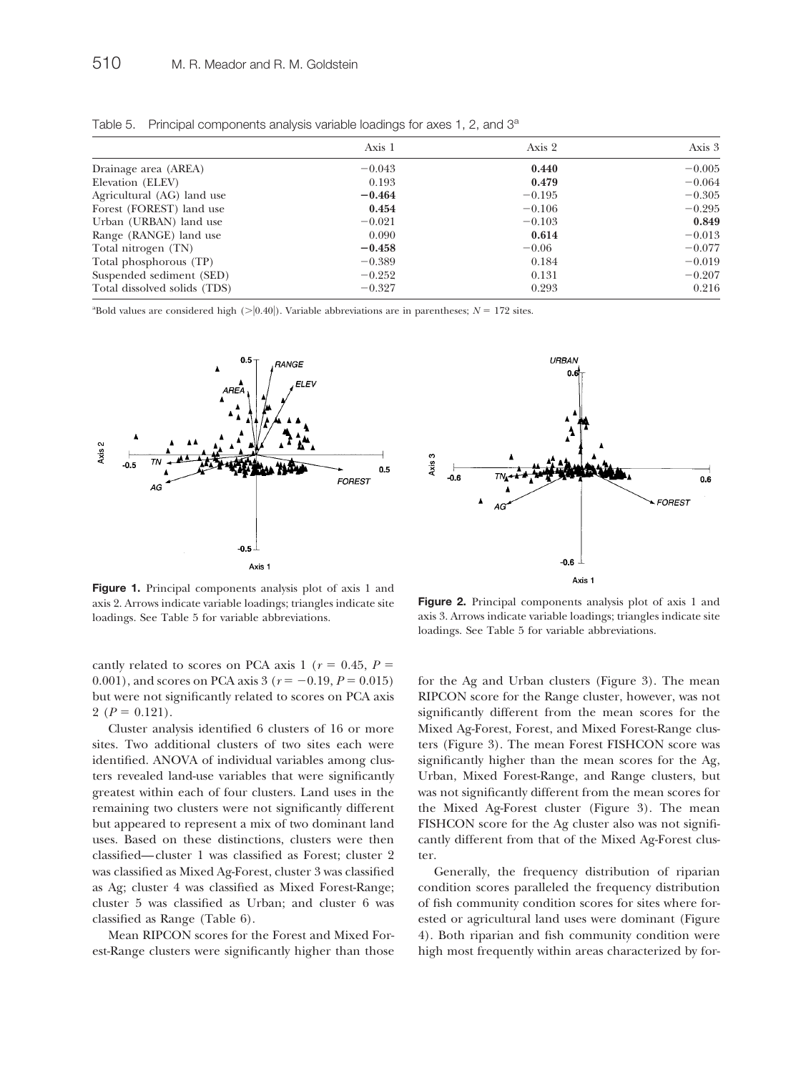|                              | Axis 1   | Axis 2   | Axis 3   |
|------------------------------|----------|----------|----------|
| Drainage area (AREA)         | $-0.043$ | 0.440    | $-0.005$ |
| Elevation (ELEV)             | 0.193    | 0.479    | $-0.064$ |
| Agricultural (AG) land use   | $-0.464$ | $-0.195$ | $-0.305$ |
| Forest (FOREST) land use     | 0.454    | $-0.106$ | $-0.295$ |
| Urban (URBAN) land use       | $-0.021$ | $-0.103$ | 0.849    |
| Range (RANGE) land use       | 0.090    | 0.614    | $-0.013$ |
| Total nitrogen (TN)          | $-0.458$ | $-0.06$  | $-0.077$ |
| Total phosphorous (TP)       | $-0.389$ | 0.184    | $-0.019$ |
| Suspended sediment (SED)     | $-0.252$ | 0.131    | $-0.207$ |
| Total dissolved solids (TDS) | $-0.327$ | 0.293    | 0.216    |
|                              |          |          |          |

Table 5. Principal components analysis variable loadings for axes 1, 2, and  $3<sup>a</sup>$ 

<sup>a</sup>Bold values are considered high  $(>|0.40|)$ . Variable abbreviations are in parentheses;  $N = 172$  sites.



**Figure 1.** Principal components analysis plot of axis 1 and axis 2. Arrows indicate variable loadings; triangles indicate site loadings. See Table 5 for variable abbreviations.

cantly related to scores on PCA axis 1 ( $r = 0.45$ ,  $P =$ 0.001), and scores on PCA axis 3 ( $r = -0.19$ ,  $P = 0.015$ ) but were not significantly related to scores on PCA axis 2  $(P = 0.121)$ .

Cluster analysis identified 6 clusters of 16 or more sites. Two additional clusters of two sites each were identified. ANOVA of individual variables among clusters revealed land-use variables that were significantly greatest within each of four clusters. Land uses in the remaining two clusters were not significantly different but appeared to represent a mix of two dominant land uses. Based on these distinctions, clusters were then classified—cluster 1 was classified as Forest; cluster 2 was classified as Mixed Ag-Forest, cluster 3 was classified as Ag; cluster 4 was classified as Mixed Forest-Range; cluster 5 was classified as Urban; and cluster 6 was classified as Range (Table 6).

Mean RIPCON scores for the Forest and Mixed Forest-Range clusters were significantly higher than those



**Figure 2.** Principal components analysis plot of axis 1 and axis 3. Arrows indicate variable loadings; triangles indicate site loadings. See Table 5 for variable abbreviations.

for the Ag and Urban clusters (Figure 3). The mean RIPCON score for the Range cluster, however, was not significantly different from the mean scores for the Mixed Ag-Forest, Forest, and Mixed Forest-Range clusters (Figure 3). The mean Forest FISHCON score was significantly higher than the mean scores for the Ag, Urban, Mixed Forest-Range, and Range clusters, but was not significantly different from the mean scores for the Mixed Ag-Forest cluster (Figure 3). The mean FISHCON score for the Ag cluster also was not significantly different from that of the Mixed Ag-Forest cluster.

Generally, the frequency distribution of riparian condition scores paralleled the frequency distribution of fish community condition scores for sites where forested or agricultural land uses were dominant (Figure 4). Both riparian and fish community condition were high most frequently within areas characterized by for-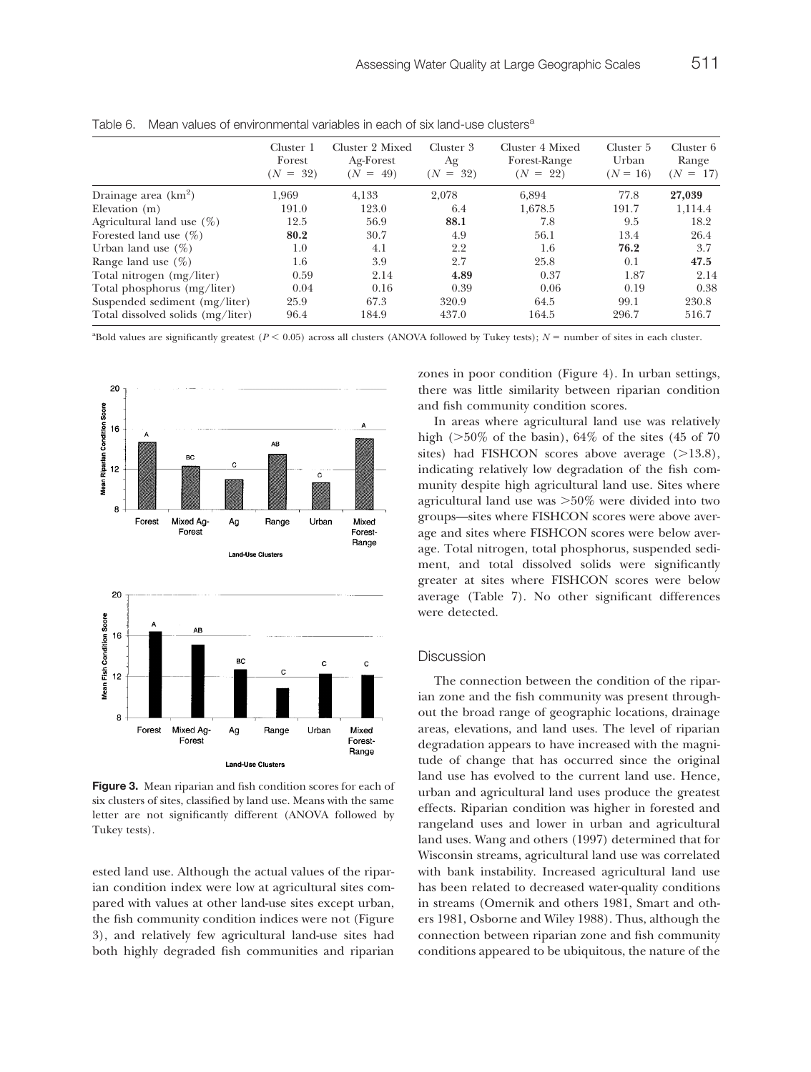|                                   | Cluster 1<br>Forest<br>$(N = 32)$ | Cluster 2 Mixed<br>Ag-Forest<br>$(N = 49)$ | Cluster 3<br>Ag<br>32)<br>M)<br>$=$ | Cluster 4 Mixed<br>Forest-Range<br>$(N = 22)$ | Cluster 5<br>Urban<br>$(N = 16)$ | Cluster 6<br>Range<br>$(N = 17)$ |
|-----------------------------------|-----------------------------------|--------------------------------------------|-------------------------------------|-----------------------------------------------|----------------------------------|----------------------------------|
| Drainage area $(km^2)$            | 1.969                             | 4.133                                      | 2.078                               | 6.894                                         | 77.8                             | 27,039                           |
| Elevation $(m)$                   | 191.0                             | 123.0                                      | 6.4                                 | 1,678.5                                       | 191.7                            | 1,114.4                          |
| Agricultural land use $(\%)$      | 12.5                              | 56.9                                       | 88.1                                | 7.8                                           | 9.5                              | 18.2                             |
| Forested land use $(\%)$          | 80.2                              | 30.7                                       | 4.9                                 | 56.1                                          | 13.4                             | 26.4                             |
| Urban land use $(\%)$             | 1.0                               | 4.1                                        | 2.2                                 | 1.6                                           | 76.2                             | 3.7                              |
| Range land use $(\%)$             | 1.6                               | 3.9                                        | 2.7                                 | 25.8                                          | 0.1                              | 47.5                             |
| Total nitrogen (mg/liter)         | 0.59                              | 2.14                                       | 4.89                                | 0.37                                          | 1.87                             | 2.14                             |
| Total phosphorus (mg/liter)       | 0.04                              | 0.16                                       | 0.39                                | 0.06                                          | 0.19                             | 0.38                             |
| Suspended sediment (mg/liter)     | 25.9                              | 67.3                                       | 320.9                               | 64.5                                          | 99.1                             | 230.8                            |
| Total dissolved solids (mg/liter) | 96.4                              | 184.9                                      | 437.0                               | 164.5                                         | 296.7                            | 516.7                            |

Table 6. Mean values of environmental variables in each of six land-use clusters<sup>a</sup>

"Bold values are significantly greatest ( $P < 0.05$ ) across all clusters (ANOVA followed by Tukey tests);  $N =$  number of sites in each cluster.



**Figure 3.** Mean riparian and fish condition scores for each of six clusters of sites, classified by land use. Means with the same letter are not significantly different (ANOVA followed by Tukey tests).

ested land use. Although the actual values of the riparian condition index were low at agricultural sites compared with values at other land-use sites except urban, the fish community condition indices were not (Figure 3), and relatively few agricultural land-use sites had both highly degraded fish communities and riparian zones in poor condition (Figure 4). In urban settings, there was little similarity between riparian condition and fish community condition scores.

In areas where agricultural land use was relatively high ( $>50\%$  of the basin), 64% of the sites (45 of 70 sites) had FISHCON scores above average  $(>13.8)$ , indicating relatively low degradation of the fish community despite high agricultural land use. Sites where agricultural land use was  $>50\%$  were divided into two groups—sites where FISHCON scores were above average and sites where FISHCON scores were below average. Total nitrogen, total phosphorus, suspended sediment, and total dissolved solids were significantly greater at sites where FISHCON scores were below average (Table 7). No other significant differences were detected.

# **Discussion**

The connection between the condition of the riparian zone and the fish community was present throughout the broad range of geographic locations, drainage areas, elevations, and land uses. The level of riparian degradation appears to have increased with the magnitude of change that has occurred since the original land use has evolved to the current land use. Hence, urban and agricultural land uses produce the greatest effects. Riparian condition was higher in forested and rangeland uses and lower in urban and agricultural land uses. Wang and others (1997) determined that for Wisconsin streams, agricultural land use was correlated with bank instability. Increased agricultural land use has been related to decreased water-quality conditions in streams (Omernik and others 1981, Smart and others 1981, Osborne and Wiley 1988). Thus, although the connection between riparian zone and fish community conditions appeared to be ubiquitous, the nature of the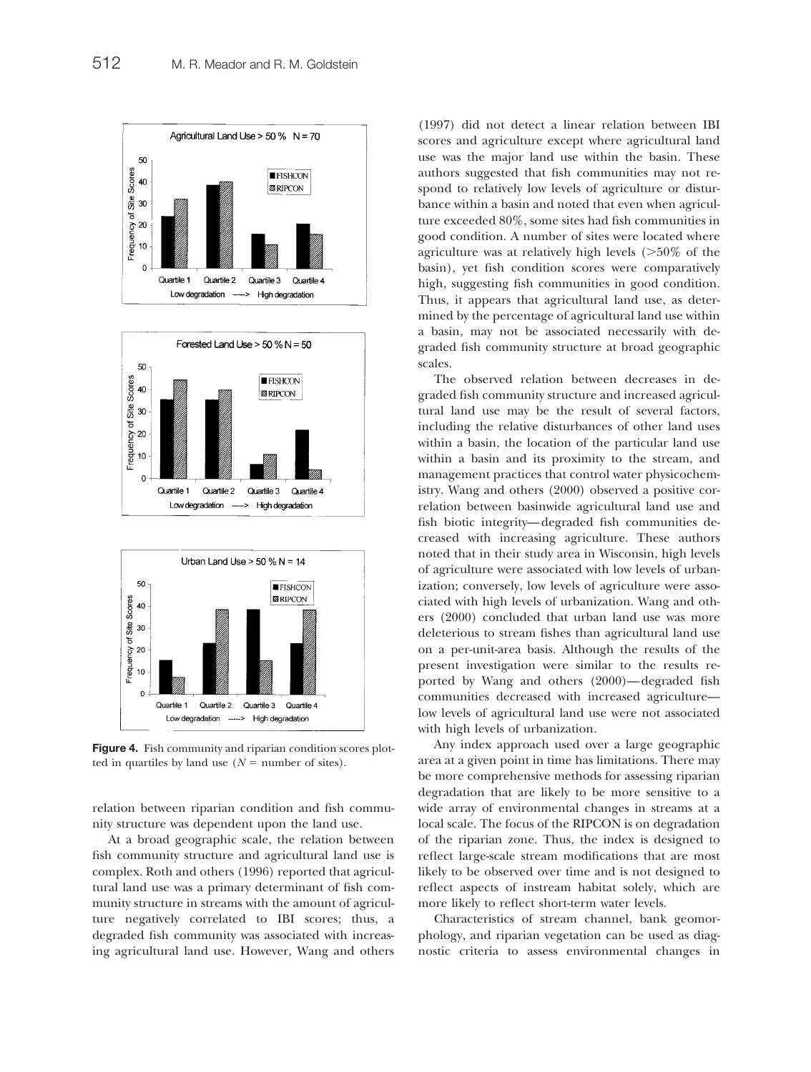





**Figure 4.** Fish community and riparian condition scores plotted in quartiles by land use  $(N =$  number of sites).

relation between riparian condition and fish community structure was dependent upon the land use.

At a broad geographic scale, the relation between fish community structure and agricultural land use is complex. Roth and others (1996) reported that agricultural land use was a primary determinant of fish community structure in streams with the amount of agriculture negatively correlated to IBI scores; thus, a degraded fish community was associated with increasing agricultural land use. However, Wang and others (1997) did not detect a linear relation between IBI scores and agriculture except where agricultural land use was the major land use within the basin. These authors suggested that fish communities may not respond to relatively low levels of agriculture or disturbance within a basin and noted that even when agriculture exceeded 80%, some sites had fish communities in good condition. A number of sites were located where agriculture was at relatively high levels  $(>50\%$  of the basin), yet fish condition scores were comparatively high, suggesting fish communities in good condition. Thus, it appears that agricultural land use, as determined by the percentage of agricultural land use within a basin, may not be associated necessarily with degraded fish community structure at broad geographic scales.

The observed relation between decreases in degraded fish community structure and increased agricultural land use may be the result of several factors, including the relative disturbances of other land uses within a basin, the location of the particular land use within a basin and its proximity to the stream, and management practices that control water physicochemistry. Wang and others (2000) observed a positive correlation between basinwide agricultural land use and fish biotic integrity—degraded fish communities decreased with increasing agriculture. These authors noted that in their study area in Wisconsin, high levels of agriculture were associated with low levels of urbanization; conversely, low levels of agriculture were associated with high levels of urbanization. Wang and others (2000) concluded that urban land use was more deleterious to stream fishes than agricultural land use on a per-unit-area basis. Although the results of the present investigation were similar to the results reported by Wang and others (2000)—degraded fish communities decreased with increased agriculture low levels of agricultural land use were not associated with high levels of urbanization.

Any index approach used over a large geographic area at a given point in time has limitations. There may be more comprehensive methods for assessing riparian degradation that are likely to be more sensitive to a wide array of environmental changes in streams at a local scale. The focus of the RIPCON is on degradation of the riparian zone. Thus, the index is designed to reflect large-scale stream modifications that are most likely to be observed over time and is not designed to reflect aspects of instream habitat solely, which are more likely to reflect short-term water levels.

Characteristics of stream channel, bank geomorphology, and riparian vegetation can be used as diagnostic criteria to assess environmental changes in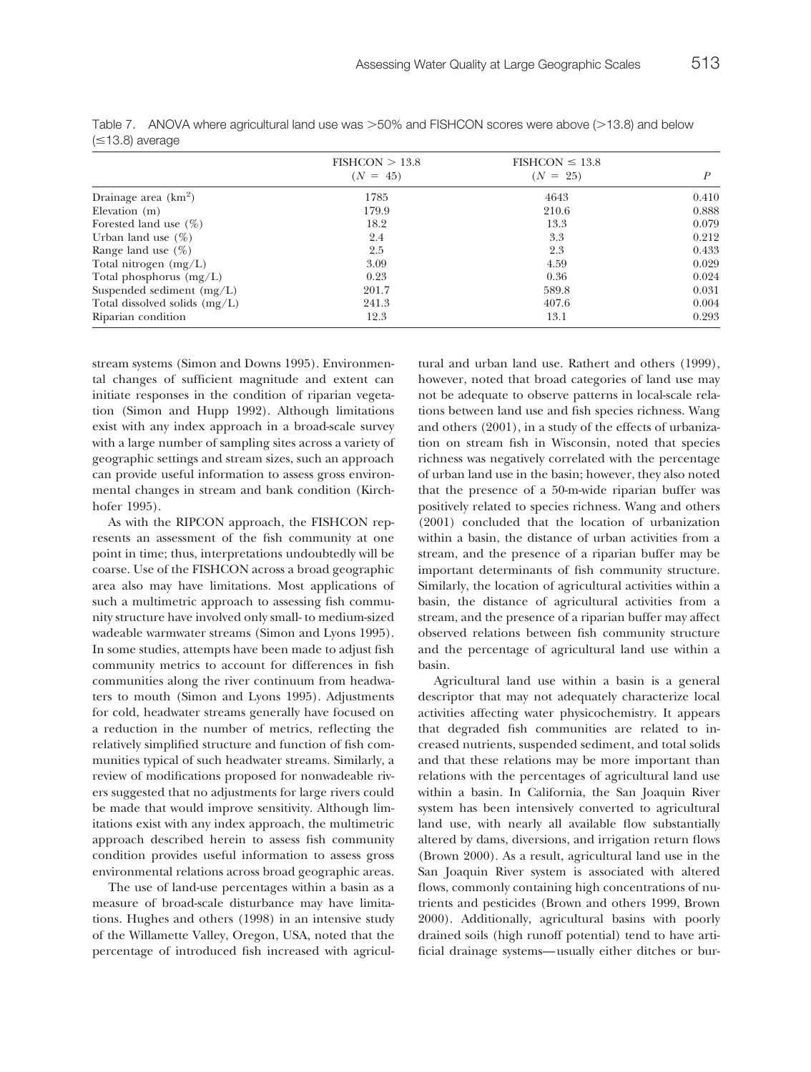|                                 | FISHCON > 13.8<br>$(N = 45)$ | $FISHCON \leq 13.8$<br>$(N = 25)$ | D     |
|---------------------------------|------------------------------|-----------------------------------|-------|
| Drainage area $(km^2)$          | 1785                         | 4643                              | 0.410 |
| Elevation $(m)$                 | 179.9                        | 210.6                             | 0.888 |
| Forested land use $(\%)$        | 18.2                         | 13.3                              | 0.079 |
| Urban land use $(\%)$           | 2.4                          | 3.3                               | 0.212 |
| Range land use $(\%)$           | 2.5                          | 2.3                               | 0.433 |
| Total nitrogen $(mg/L)$         | 3.09                         | 4.59                              | 0.029 |
| Total phosphorus $(mg/L)$       | 0.23                         | 0.36                              | 0.024 |
| Suspended sediment $(mg/L)$     | 201.7                        | 589.8                             | 0.031 |
| Total dissolved solids $(mg/L)$ | 241.3                        | 407.6                             | 0.004 |
| Riparian condition              | 12.3                         | 13.1                              | 0.293 |

Table 7. ANOVA where agricultural land use was >50% and FISHCON scores were above (>13.8) and below  $(\leq$ 13.8) average

stream systems (Simon and Downs 1995). Environmental changes of sufficient magnitude and extent can initiate responses in the condition of riparian vegetation (Simon and Hupp 1992). Although limitations exist with any index approach in a broad-scale survey with a large number of sampling sites across a variety of geographic settings and stream sizes, such an approach can provide useful information to assess gross environmental changes in stream and bank condition (Kirchhofer 1995).

As with the RIPCON approach, the FISHCON represents an assessment of the fish community at one point in time; thus, interpretations undoubtedly will be coarse. Use of the FISHCON across a broad geographic area also may have limitations. Most applications of such a multimetric approach to assessing fish community structure have involved only small- to medium-sized wadeable warmwater streams (Simon and Lyons 1995). In some studies, attempts have been made to adjust fish community metrics to account for differences in fish communities along the river continuum from headwaters to mouth (Simon and Lyons 1995). Adjustments for cold, headwater streams generally have focused on a reduction in the number of metrics, reflecting the relatively simplified structure and function of fish communities typical of such headwater streams. Similarly, a review of modifications proposed for nonwadeable rivers suggested that no adjustments for large rivers could be made that would improve sensitivity. Although limitations exist with any index approach, the multimetric approach described herein to assess fish community condition provides useful information to assess gross environmental relations across broad geographic areas.

The use of land-use percentages within a basin as a measure of broad-scale disturbance may have limitations. Hughes and others (1998) in an intensive study of the Willamette Valley, Oregon, USA, noted that the percentage of introduced fish increased with agricultural and urban land use. Rathert and others (1999), however, noted that broad categories of land use may not be adequate to observe patterns in local-scale relations between land use and fish species richness. Wang and others (2001), in a study of the effects of urbanization on stream fish in Wisconsin, noted that species richness was negatively correlated with the percentage of urban land use in the basin; however, they also noted that the presence of a 50-m-wide riparian buffer was positively related to species richness. Wang and others (2001) concluded that the location of urbanization within a basin, the distance of urban activities from a stream, and the presence of a riparian buffer may be important determinants of fish community structure. Similarly, the location of agricultural activities within a basin, the distance of agricultural activities from a stream, and the presence of a riparian buffer may affect observed relations between fish community structure and the percentage of agricultural land use within a basin.

Agricultural land use within a basin is a general descriptor that may not adequately characterize local activities affecting water physicochemistry. It appears that degraded fish communities are related to increased nutrients, suspended sediment, and total solids and that these relations may be more important than relations with the percentages of agricultural land use within a basin. In California, the San Joaquin River system has been intensively converted to agricultural land use, with nearly all available flow substantially altered by dams, diversions, and irrigation return flows (Brown 2000). As a result, agricultural land use in the San Joaquin River system is associated with altered flows, commonly containing high concentrations of nutrients and pesticides (Brown and others 1999, Brown 2000). Additionally, agricultural basins with poorly drained soils (high runoff potential) tend to have artificial drainage systems—usually either ditches or bur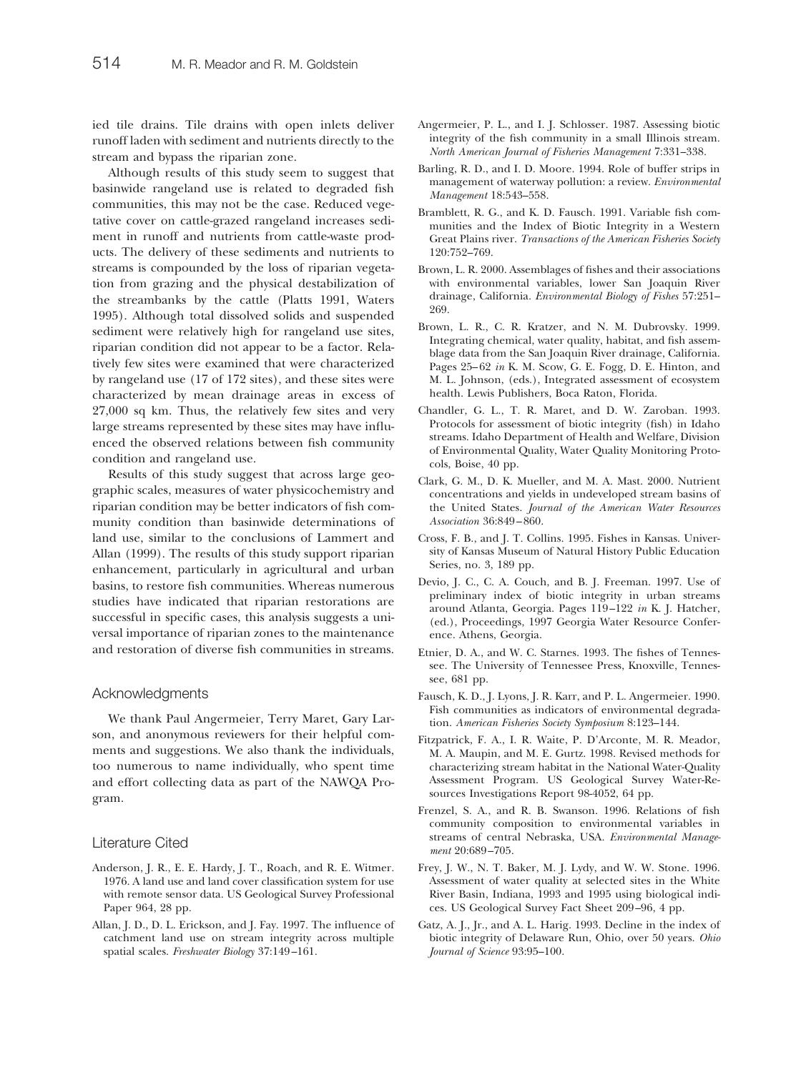ied tile drains. Tile drains with open inlets deliver runoff laden with sediment and nutrients directly to the stream and bypass the riparian zone.

Although results of this study seem to suggest that basinwide rangeland use is related to degraded fish communities, this may not be the case. Reduced vegetative cover on cattle-grazed rangeland increases sediment in runoff and nutrients from cattle-waste products. The delivery of these sediments and nutrients to streams is compounded by the loss of riparian vegetation from grazing and the physical destabilization of the streambanks by the cattle (Platts 1991, Waters 1995). Although total dissolved solids and suspended sediment were relatively high for rangeland use sites, riparian condition did not appear to be a factor. Relatively few sites were examined that were characterized by rangeland use (17 of 172 sites), and these sites were characterized by mean drainage areas in excess of 27,000 sq km. Thus, the relatively few sites and very large streams represented by these sites may have influenced the observed relations between fish community condition and rangeland use.

Results of this study suggest that across large geographic scales, measures of water physicochemistry and riparian condition may be better indicators of fish community condition than basinwide determinations of land use, similar to the conclusions of Lammert and Allan (1999). The results of this study support riparian enhancement, particularly in agricultural and urban basins, to restore fish communities. Whereas numerous studies have indicated that riparian restorations are successful in specific cases, this analysis suggests a universal importance of riparian zones to the maintenance and restoration of diverse fish communities in streams.

### Acknowledgments

We thank Paul Angermeier, Terry Maret, Gary Larson, and anonymous reviewers for their helpful comments and suggestions. We also thank the individuals, too numerous to name individually, who spent time and effort collecting data as part of the NAWQA Program.

# Literature Cited

- Anderson, J. R., E. E. Hardy, J. T., Roach, and R. E. Witmer. 1976. A land use and land cover classification system for use with remote sensor data. US Geological Survey Professional Paper 964, 28 pp.
- Allan, J. D., D. L. Erickson, and J. Fay. 1997. The influence of catchment land use on stream integrity across multiple spatial scales. *Freshwater Biology* 37:149–161.
- Angermeier, P. L., and I. J. Schlosser. 1987. Assessing biotic integrity of the fish community in a small Illinois stream. *North American Journal of Fisheries Management* 7:331–338.
- Barling, R. D., and I. D. Moore. 1994. Role of buffer strips in management of waterway pollution: a review. *Environmental Management* 18:543–558.
- Bramblett, R. G., and K. D. Fausch. 1991. Variable fish communities and the Index of Biotic Integrity in a Western Great Plains river. *Transactions of the American Fisheries Society* 120:752–769.
- Brown, L. R. 2000. Assemblages of fishes and their associations with environmental variables, lower San Joaquin River drainage, California. *Environmental Biology of Fishes* 57:251– 269.
- Brown, L. R., C. R. Kratzer, and N. M. Dubrovsky. 1999. Integrating chemical, water quality, habitat, and fish assemblage data from the San Joaquin River drainage, California. Pages 25–62 *in* K. M. Scow, G. E. Fogg, D. E. Hinton, and M. L. Johnson, (eds.), Integrated assessment of ecosystem health. Lewis Publishers, Boca Raton, Florida.
- Chandler, G. L., T. R. Maret, and D. W. Zaroban. 1993. Protocols for assessment of biotic integrity (fish) in Idaho streams. Idaho Department of Health and Welfare, Division of Environmental Quality, Water Quality Monitoring Protocols, Boise, 40 pp.
- Clark, G. M., D. K. Mueller, and M. A. Mast. 2000. Nutrient concentrations and yields in undeveloped stream basins of the United States. *Journal of the American Water Resources Association* 36:849–860.
- Cross, F. B., and J. T. Collins. 1995. Fishes in Kansas. University of Kansas Museum of Natural History Public Education Series, no. 3, 189 pp.
- Devio, J. C., C. A. Couch, and B. J. Freeman. 1997. Use of preliminary index of biotic integrity in urban streams around Atlanta, Georgia. Pages 119–122 *in* K. J. Hatcher, (ed.), Proceedings, 1997 Georgia Water Resource Conference. Athens, Georgia.
- Etnier, D. A., and W. C. Starnes. 1993. The fishes of Tennessee. The University of Tennessee Press, Knoxville, Tennessee, 681 pp.
- Fausch, K. D., J. Lyons, J. R. Karr, and P. L. Angermeier. 1990. Fish communities as indicators of environmental degradation. *American Fisheries Society Symposium* 8:123–144.
- Fitzpatrick, F. A., I. R. Waite, P. D'Arconte, M. R. Meador, M. A. Maupin, and M. E. Gurtz. 1998. Revised methods for characterizing stream habitat in the National Water-Quality Assessment Program. US Geological Survey Water-Resources Investigations Report 98-4052, 64 pp.
- Frenzel, S. A., and R. B. Swanson. 1996. Relations of fish community composition to environmental variables in streams of central Nebraska, USA. *Environmental Management* 20:689–705.
- Frey, J. W., N. T. Baker, M. J. Lydy, and W. W. Stone. 1996. Assessment of water quality at selected sites in the White River Basin, Indiana, 1993 and 1995 using biological indices. US Geological Survey Fact Sheet 209–96, 4 pp.
- Gatz, A. J., Jr., and A. L. Harig. 1993. Decline in the index of biotic integrity of Delaware Run, Ohio, over 50 years. *Ohio Journal of Science* 93:95–100.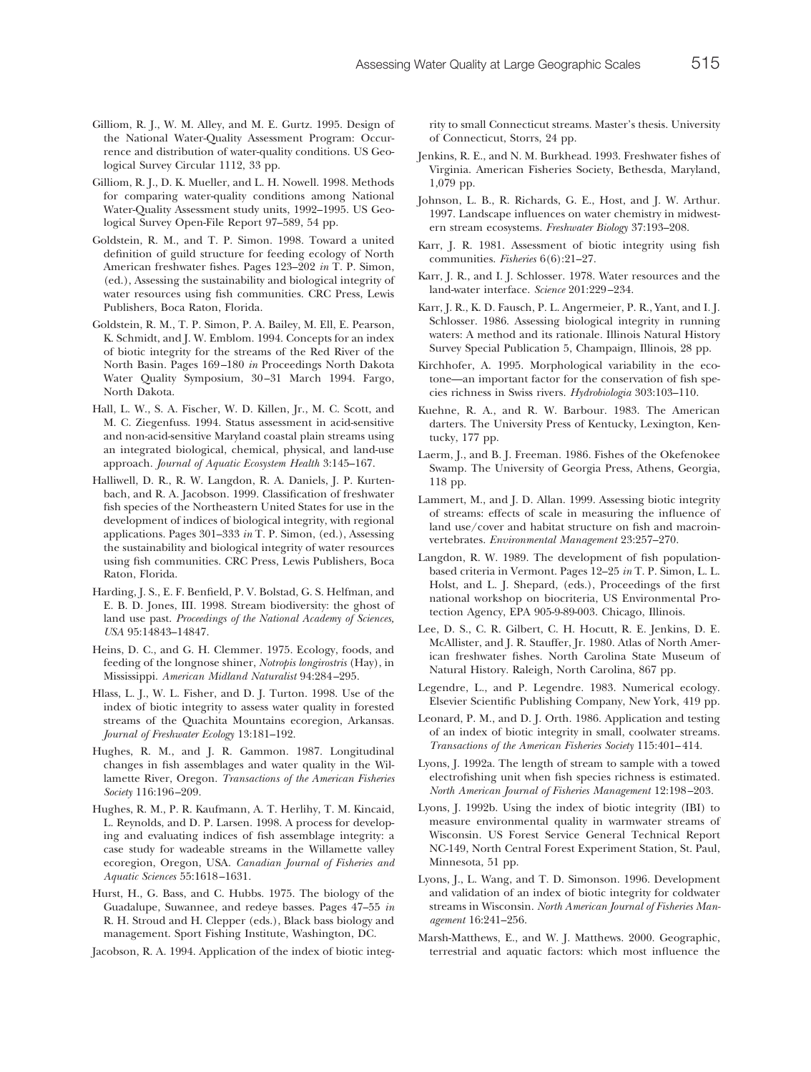- Gilliom, R. J., W. M. Alley, and M. E. Gurtz. 1995. Design of the National Water-Quality Assessment Program: Occurrence and distribution of water-quality conditions. US Geological Survey Circular 1112, 33 pp.
- Gilliom, R. J., D. K. Mueller, and L. H. Nowell. 1998. Methods for comparing water-quality conditions among National Water-Quality Assessment study units, 1992–1995. US Geological Survey Open-File Report 97–589, 54 pp.
- Goldstein, R. M., and T. P. Simon. 1998. Toward a united definition of guild structure for feeding ecology of North American freshwater fishes. Pages 123–202 *in* T. P. Simon, (ed.), Assessing the sustainability and biological integrity of water resources using fish communities. CRC Press, Lewis Publishers, Boca Raton, Florida.
- Goldstein, R. M., T. P. Simon, P. A. Bailey, M. Ell, E. Pearson, K. Schmidt, and J. W. Emblom. 1994. Concepts for an index of biotic integrity for the streams of the Red River of the North Basin. Pages 169–180 *in* Proceedings North Dakota Water Quality Symposium, 30–31 March 1994. Fargo, North Dakota.
- Hall, L. W., S. A. Fischer, W. D. Killen, Jr., M. C. Scott, and M. C. Ziegenfuss. 1994. Status assessment in acid-sensitive and non-acid-sensitive Maryland coastal plain streams using an integrated biological, chemical, physical, and land-use approach. *Journal of Aquatic Ecosystem Health* 3:145–167.
- Halliwell, D. R., R. W. Langdon, R. A. Daniels, J. P. Kurtenbach, and R. A. Jacobson. 1999. Classification of freshwater fish species of the Northeastern United States for use in the development of indices of biological integrity, with regional applications. Pages 301–333 *in* T. P. Simon, (ed.), Assessing the sustainability and biological integrity of water resources using fish communities. CRC Press, Lewis Publishers, Boca Raton, Florida.
- Harding, J. S., E. F. Benfield, P. V. Bolstad, G. S. Helfman, and E. B. D. Jones, III. 1998. Stream biodiversity: the ghost of land use past. *Proceedings of the National Academy of Sciences, USA* 95:14843–14847.
- Heins, D. C., and G. H. Clemmer. 1975. Ecology, foods, and feeding of the longnose shiner, *Notropis longirostris* (Hay), in Mississippi. *American Midland Naturalist* 94:284–295.
- Hlass, L. J., W. L. Fisher, and D. J. Turton. 1998. Use of the index of biotic integrity to assess water quality in forested streams of the Quachita Mountains ecoregion, Arkansas. *Journal of Freshwater Ecology* 13:181–192.
- Hughes, R. M., and J. R. Gammon. 1987. Longitudinal changes in fish assemblages and water quality in the Willamette River, Oregon. *Transactions of the American Fisheries Society* 116:196–209.
- Hughes, R. M., P. R. Kaufmann, A. T. Herlihy, T. M. Kincaid, L. Reynolds, and D. P. Larsen. 1998. A process for developing and evaluating indices of fish assemblage integrity: a case study for wadeable streams in the Willamette valley ecoregion, Oregon, USA. *Canadian Journal of Fisheries and Aquatic Sciences* 55:1618–1631.
- Hurst, H., G. Bass, and C. Hubbs. 1975. The biology of the Guadalupe, Suwannee, and redeye basses. Pages 47–55 *in* R. H. Stroud and H. Clepper (eds.), Black bass biology and management. Sport Fishing Institute, Washington, DC.
- Jacobson, R. A. 1994. Application of the index of biotic integ-

rity to small Connecticut streams. Master's thesis. University of Connecticut, Storrs, 24 pp.

- Jenkins, R. E., and N. M. Burkhead. 1993. Freshwater fishes of Virginia. American Fisheries Society, Bethesda, Maryland, 1,079 pp.
- Johnson, L. B., R. Richards, G. E., Host, and J. W. Arthur. 1997. Landscape influences on water chemistry in midwestern stream ecosystems. *Freshwater Biology* 37:193–208.
- Karr, J. R. 1981. Assessment of biotic integrity using fish communities. *Fisheries* 6(6):21–27.
- Karr, J. R., and I. J. Schlosser. 1978. Water resources and the land-water interface. *Science* 201:229–234.
- Karr, J. R., K. D. Fausch, P. L. Angermeier, P. R., Yant, and I. J. Schlosser. 1986. Assessing biological integrity in running waters: A method and its rationale. Illinois Natural History Survey Special Publication 5, Champaign, Illinois, 28 pp.
- Kirchhofer, A. 1995. Morphological variability in the ecotone—an important factor for the conservation of fish species richness in Swiss rivers. *Hydrobiologia* 303:103–110.
- Kuehne, R. A., and R. W. Barbour. 1983. The American darters. The University Press of Kentucky, Lexington, Kentucky, 177 pp.
- Laerm, J., and B. J. Freeman. 1986. Fishes of the Okefenokee Swamp. The University of Georgia Press, Athens, Georgia, 118 pp.
- Lammert, M., and J. D. Allan. 1999. Assessing biotic integrity of streams: effects of scale in measuring the influence of land use/cover and habitat structure on fish and macroinvertebrates. *Environmental Management* 23:257–270.
- Langdon, R. W. 1989. The development of fish populationbased criteria in Vermont. Pages 12–25 *in* T. P. Simon, L. L. Holst, and L. J. Shepard, (eds.), Proceedings of the first national workshop on biocriteria, US Environmental Protection Agency, EPA 905-9-89-003. Chicago, Illinois.
- Lee, D. S., C. R. Gilbert, C. H. Hocutt, R. E. Jenkins, D. E. McAllister, and J. R. Stauffer, Jr. 1980. Atlas of North American freshwater fishes. North Carolina State Museum of Natural History. Raleigh, North Carolina, 867 pp.
- Legendre, L., and P. Legendre. 1983. Numerical ecology. Elsevier Scientific Publishing Company, New York, 419 pp.
- Leonard, P. M., and D. J. Orth. 1986. Application and testing of an index of biotic integrity in small, coolwater streams. *Transactions of the American Fisheries Society* 115:401–414.
- Lyons, J. 1992a. The length of stream to sample with a towed electrofishing unit when fish species richness is estimated. *North American Journal of Fisheries Management* 12:198–203.
- Lyons, J. 1992b. Using the index of biotic integrity (IBI) to measure environmental quality in warmwater streams of Wisconsin. US Forest Service General Technical Report NC-149, North Central Forest Experiment Station, St. Paul, Minnesota, 51 pp.
- Lyons, J., L. Wang, and T. D. Simonson. 1996. Development and validation of an index of biotic integrity for coldwater streams in Wisconsin. *North American Journal of Fisheries Management* 16:241–256.
- Marsh-Matthews, E., and W. J. Matthews. 2000. Geographic, terrestrial and aquatic factors: which most influence the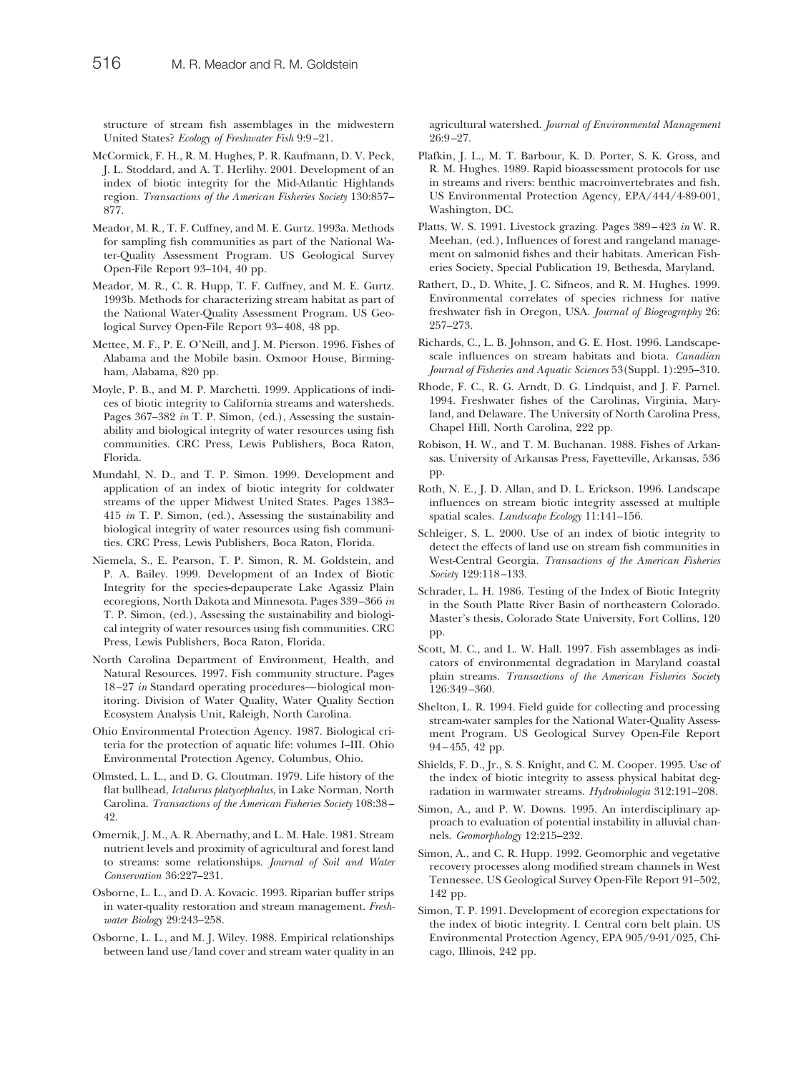structure of stream fish assemblages in the midwestern United States? *Ecology of Freshwater Fish* 9:9–21.

- McCormick, F. H., R. M. Hughes, P. R. Kaufmann, D. V. Peck, J. L. Stoddard, and A. T. Herlihy. 2001. Development of an index of biotic integrity for the Mid-Atlantic Highlands region. *Transactions of the American Fisheries Society* 130:857– 877.
- Meador, M. R., T. F. Cuffney, and M. E. Gurtz. 1993a. Methods for sampling fish communities as part of the National Water-Quality Assessment Program. US Geological Survey Open-File Report 93–104, 40 pp.
- Meador, M. R., C. R. Hupp, T. F. Cuffney, and M. E. Gurtz. 1993b. Methods for characterizing stream habitat as part of the National Water-Quality Assessment Program. US Geological Survey Open-File Report 93–408, 48 pp.
- Mettee, M. F., P. E. O'Neill, and J. M. Pierson. 1996. Fishes of Alabama and the Mobile basin. Oxmoor House, Birmingham, Alabama, 820 pp.
- Moyle, P. B., and M. P. Marchetti. 1999. Applications of indices of biotic integrity to California streams and watersheds. Pages 367–382 *in* T. P. Simon, (ed.), Assessing the sustainability and biological integrity of water resources using fish communities. CRC Press, Lewis Publishers, Boca Raton, Florida.
- Mundahl, N. D., and T. P. Simon. 1999. Development and application of an index of biotic integrity for coldwater streams of the upper Midwest United States. Pages 1383– 415 *in* T. P. Simon, (ed.), Assessing the sustainability and biological integrity of water resources using fish communities. CRC Press, Lewis Publishers, Boca Raton, Florida.
- Niemela, S., E. Pearson, T. P. Simon, R. M. Goldstein, and P. A. Bailey. 1999. Development of an Index of Biotic Integrity for the species-depauperate Lake Agassiz Plain ecoregions, North Dakota and Minnesota. Pages 339–366 *in* T. P. Simon, (ed.), Assessing the sustainability and biological integrity of water resources using fish communities. CRC Press, Lewis Publishers, Boca Raton, Florida.
- North Carolina Department of Environment, Health, and Natural Resources. 1997. Fish community structure. Pages 18–27 *in* Standard operating procedures—biological monitoring. Division of Water Quality, Water Quality Section Ecosystem Analysis Unit, Raleigh, North Carolina.
- Ohio Environmental Protection Agency. 1987. Biological criteria for the protection of aquatic life: volumes I–III. Ohio Environmental Protection Agency, Columbus, Ohio.
- Olmsted, L. L., and D. G. Cloutman. 1979. Life history of the flat bullhead, *Ictalurus platycephalus*, in Lake Norman, North Carolina. *Transactions of the American Fisheries Society* 108:38– 42.
- Omernik, J. M., A. R. Abernathy, and L. M. Hale. 1981. Stream nutrient levels and proximity of agricultural and forest land to streams: some relationships. *Journal of Soil and Water Conservation* 36:227–231.
- Osborne, L. L., and D. A. Kovacic. 1993. Riparian buffer strips in water-quality restoration and stream management. *Freshwater Biology* 29:243–258.
- Osborne, L. L., and M. J. Wiley. 1988. Empirical relationships between land use/land cover and stream water quality in an

agricultural watershed. *Journal of Environmental Management* 26:9–27.

- Plafkin, J. L., M. T. Barbour, K. D. Porter, S. K. Gross, and R. M. Hughes. 1989. Rapid bioassessment protocols for use in streams and rivers: benthic macroinvertebrates and fish. US Environmental Protection Agency, EPA/444/4-89-001, Washington, DC.
- Platts, W. S. 1991. Livestock grazing. Pages 389–423 *in* W. R. Meehan, (ed.), Influences of forest and rangeland management on salmonid fishes and their habitats. American Fisheries Society, Special Publication 19, Bethesda, Maryland.
- Rathert, D., D. White, J. C. Sifneos, and R. M. Hughes. 1999. Environmental correlates of species richness for native freshwater fish in Oregon, USA. *Journal of Biogeography* 26: 257–273.
- Richards, C., L. B. Johnson, and G. E. Host. 1996. Landscapescale influences on stream habitats and biota. *Canadian Journal of Fisheries and Aquatic Sciences* 53(Suppl. 1):295–310.
- Rhode, F. C., R. G. Arndt, D. G. Lindquist, and J. F. Parnel. 1994. Freshwater fishes of the Carolinas, Virginia, Maryland, and Delaware. The University of North Carolina Press, Chapel Hill, North Carolina, 222 pp.
- Robison, H. W., and T. M. Buchanan. 1988. Fishes of Arkansas. University of Arkansas Press, Fayetteville, Arkansas, 536 pp.
- Roth, N. E., J. D. Allan, and D. L. Erickson. 1996. Landscape influences on stream biotic integrity assessed at multiple spatial scales. *Landscape Ecology* 11:141–156.
- Schleiger, S. L. 2000. Use of an index of biotic integrity to detect the effects of land use on stream fish communities in West-Central Georgia. *Transactions of the American Fisheries Society* 129:118–133.
- Schrader, L. H. 1986. Testing of the Index of Biotic Integrity in the South Platte River Basin of northeastern Colorado. Master's thesis, Colorado State University, Fort Collins, 120 pp.
- Scott, M. C., and L. W. Hall. 1997. Fish assemblages as indicators of environmental degradation in Maryland coastal plain streams. *Transactions of the American Fisheries Society* 126:349–360.
- Shelton, L. R. 1994. Field guide for collecting and processing stream-water samples for the National Water-Quality Assessment Program. US Geological Survey Open-File Report 94–455, 42 pp.
- Shields, F. D., Jr., S. S. Knight, and C. M. Cooper. 1995. Use of the index of biotic integrity to assess physical habitat degradation in warmwater streams. *Hydrobiologia* 312:191–208.
- Simon, A., and P. W. Downs. 1995. An interdisciplinary approach to evaluation of potential instability in alluvial channels. *Geomorphology* 12:215–232.
- Simon, A., and C. R. Hupp. 1992. Geomorphic and vegetative recovery processes along modified stream channels in West Tennessee. US Geological Survey Open-File Report 91–502, 142 pp.
- Simon, T. P. 1991. Development of ecoregion expectations for the index of biotic integrity. I. Central corn belt plain. US Environmental Protection Agency, EPA 905/9-91/025, Chicago, Illinois, 242 pp.